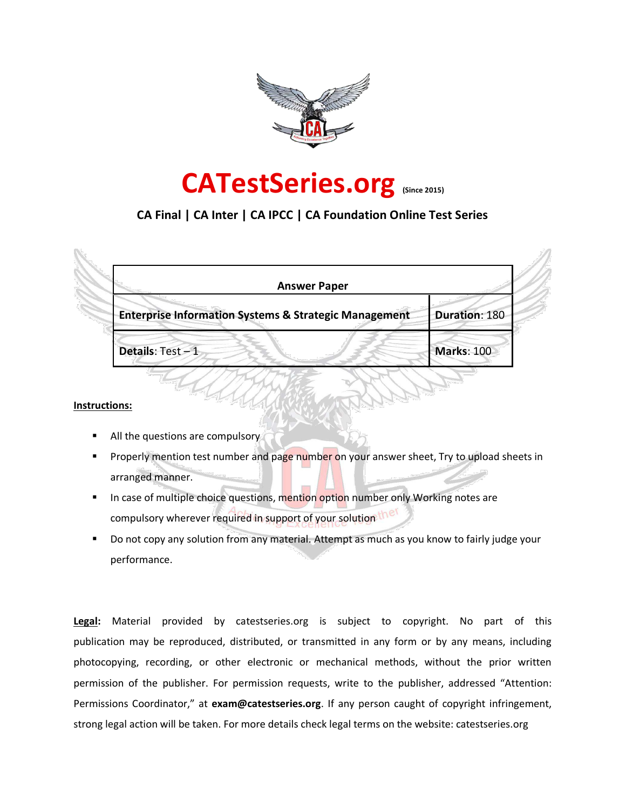



# **CA Final | CA Inter | CA IPCC | CA Foundation Online Test Series**

| <b>Answer Paper</b>                                              |                   |
|------------------------------------------------------------------|-------------------|
| <b>Enterprise Information Systems &amp; Strategic Management</b> | Duration: 180     |
| Details: Test-1                                                  | <b>Marks: 100</b> |

#### **Instructions:**

- All the questions are compulsory
- Properly mention test number and page number on your answer sheet, Try to upload sheets in arranged manner.
- In case of multiple choice questions, mention option number only Working notes are compulsory wherever required in support of your solution the
- Do not copy any solution from any material. Attempt as much as you know to fairly judge your performance.

**Legal:** Material provided by catestseries.org is subject to copyright. No part of this publication may be reproduced, distributed, or transmitted in any form or by any means, including photocopying, recording, or other electronic or mechanical methods, without the prior written permission of the publisher. For permission requests, write to the publisher, addressed "Attention: Permissions Coordinator," at **exam@catestseries.org**. If any person caught of copyright infringement, strong legal action will be taken. For more details check legal terms on the website: catestseries.org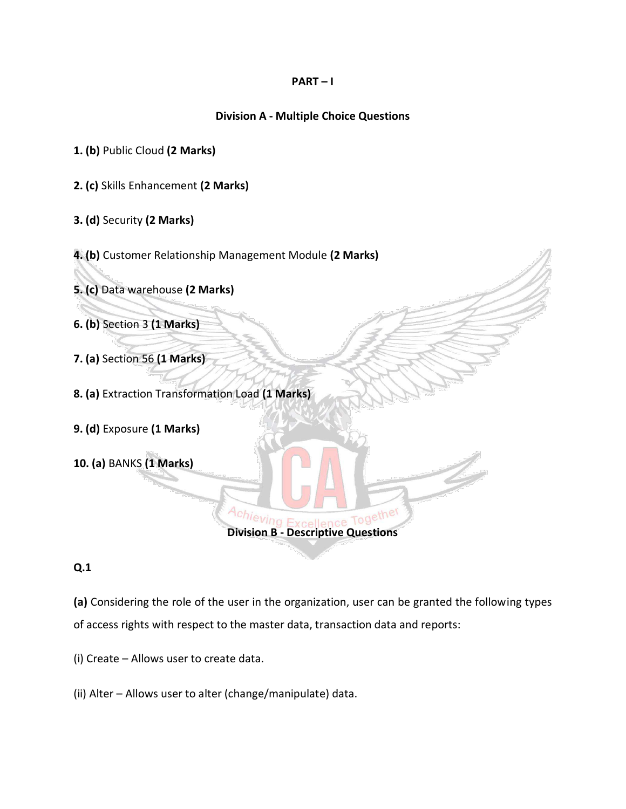## **PART – I**

# **Division A - Multiple Choice Questions**

- **1. (b)** Public Cloud **(2 Marks)**
- **2. (c)** Skills Enhancement **(2 Marks)**
- **3. (d)** Security **(2 Marks)**
- **4. (b)** Customer Relationship Management Module **(2 Marks)**
- **5. (c)** Data warehouse **(2 Marks)**
- **6. (b)** Section 3 **(1 Marks)**
- **7. (a)** Section 56 **(1 Marks)**
- **8. (a)** Extraction Transformation Load **(1 Marks)**
- **9. (d)** Exposure **(1 Marks)**
- **10. (a)** BANKS **(1 Marks)**

# **Q.1**

**(a)** Considering the role of the user in the organization, user can be granted the following types of access rights with respect to the master data, transaction data and reports:

**Division B - Descriptive Questions**

Together

(i) Create – Allows user to create data.

(ii) Alter – Allows user to alter (change/manipulate) data.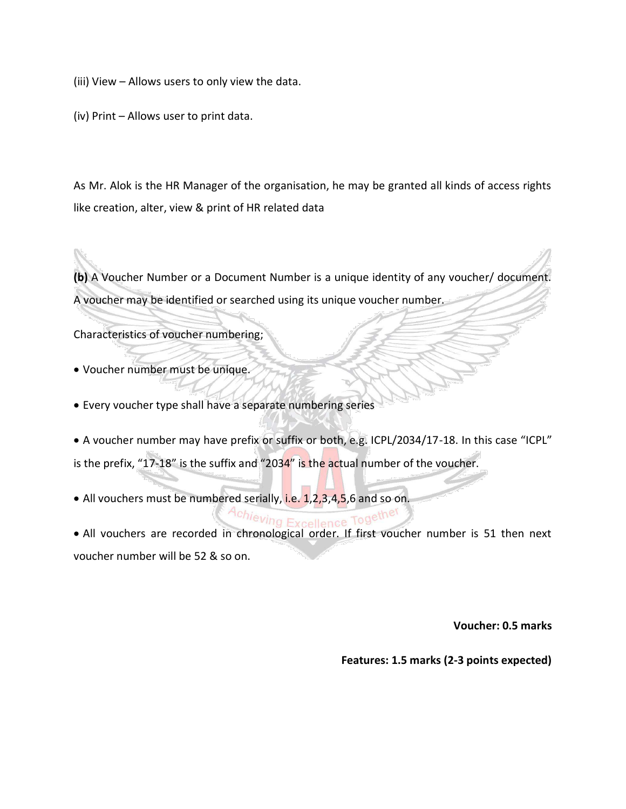(iii) View – Allows users to only view the data.

(iv) Print – Allows user to print data.

As Mr. Alok is the HR Manager of the organisation, he may be granted all kinds of access rights like creation, alter, view & print of HR related data

**(b)** A Voucher Number or a Document Number is a unique identity of any voucher/ document. A voucher may be identified or searched using its unique voucher number.

Characteristics of voucher numbering;

- Voucher number must be unique.
- Every voucher type shall have a separate numbering series
- A voucher number may have prefix or suffix or both, e.g. ICPL/2034/17-18. In this case "ICPL" is the prefix, "17-18" is the suffix and "203 $4$ " is the actual number of the voucher.
- All vouchers must be numbered serially, i.e. 1,2,3,4,5,6 and so on.

# Achievir

 All vouchers are recorded in chronological order. If first voucher number is 51 then next voucher number will be 52 & so on.

**Voucher: 0.5 marks** 

**Features: 1.5 marks (2-3 points expected)**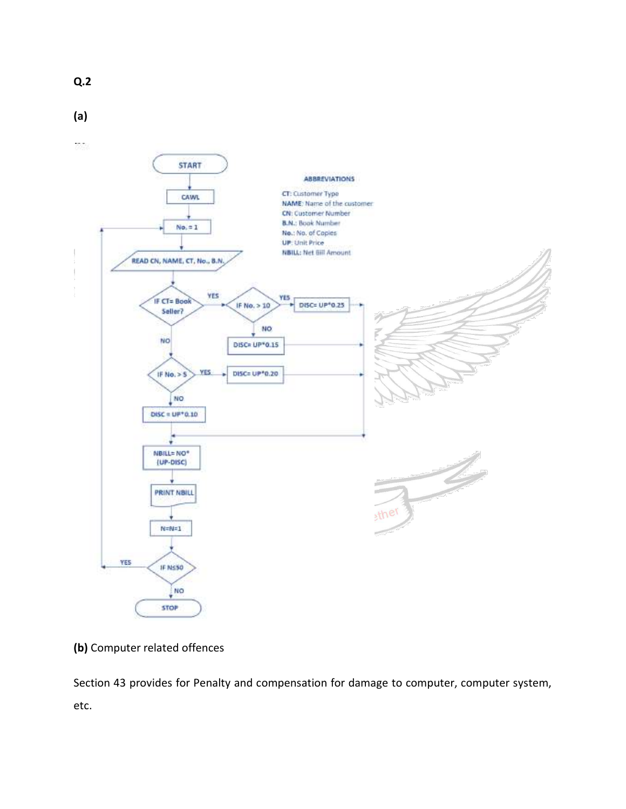

**(a)**



**(b)** Computer related offences

Section 43 provides for Penalty and compensation for damage to computer, computer system, etc.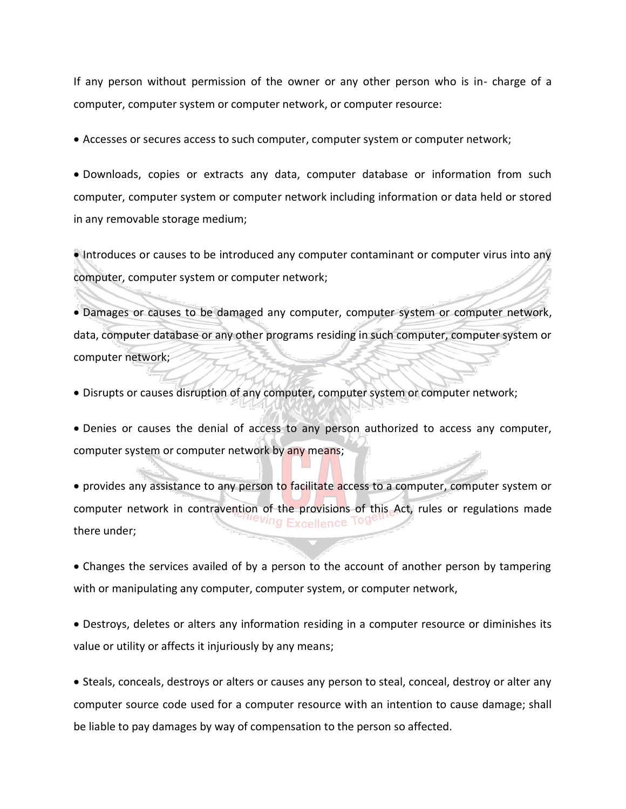If any person without permission of the owner or any other person who is in- charge of a computer, computer system or computer network, or computer resource:

Accesses or secures access to such computer, computer system or computer network;

 Downloads, copies or extracts any data, computer database or information from such computer, computer system or computer network including information or data held or stored in any removable storage medium;

Introduces or causes to be introduced any computer contaminant or computer virus into any computer, computer system or computer network;

 Damages or causes to be damaged any computer, computer system or computer network, data, computer database or any other programs residing in such computer, computer system or computer network;

Disrupts or causes disruption of any computer, computer system or computer network;

 Denies or causes the denial of access to any person authorized to access any computer, computer system or computer network by any means;

• provides any assistance to any person to facilitate access to a computer, computer system or computer network in contravention of the provisions of this Act, rules or regulations made reving Excellence there under;

 Changes the services availed of by a person to the account of another person by tampering with or manipulating any computer, computer system, or computer network,

 Destroys, deletes or alters any information residing in a computer resource or diminishes its value or utility or affects it injuriously by any means;

• Steals, conceals, destroys or alters or causes any person to steal, conceal, destroy or alter any computer source code used for a computer resource with an intention to cause damage; shall be liable to pay damages by way of compensation to the person so affected.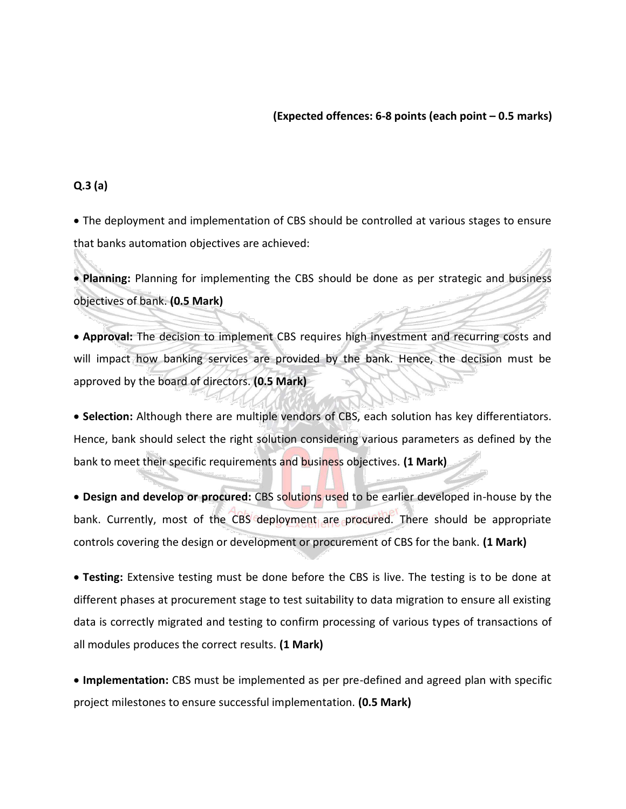#### **(Expected offences: 6-8 points (each point – 0.5 marks)**

### **Q.3 (a)**

 The deployment and implementation of CBS should be controlled at various stages to ensure that banks automation objectives are achieved:

 **Planning:** Planning for implementing the CBS should be done as per strategic and business objectives of bank. **(0.5 Mark)** 

 **Approval:** The decision to implement CBS requires high investment and recurring costs and will impact how banking services are provided by the bank. Hence, the decision must be approved by the board of directors. **(0.5 Mark)** 

 **Selection:** Although there are multiple vendors of CBS, each solution has key differentiators. Hence, bank should select the right solution considering various parameters as defined by the bank to meet their specific requirements and business objectives. **(1 Mark)** 

 **Design and develop or procured:** CBS solutions used to be earlier developed in-house by the bank. Currently, most of the CBS deployment are procured. There should be appropriate controls covering the design or development or procurement of CBS for the bank. **(1 Mark)** 

 **Testing:** Extensive testing must be done before the CBS is live. The testing is to be done at different phases at procurement stage to test suitability to data migration to ensure all existing data is correctly migrated and testing to confirm processing of various types of transactions of all modules produces the correct results. **(1 Mark)** 

 **Implementation:** CBS must be implemented as per pre-defined and agreed plan with specific project milestones to ensure successful implementation. **(0.5 Mark)**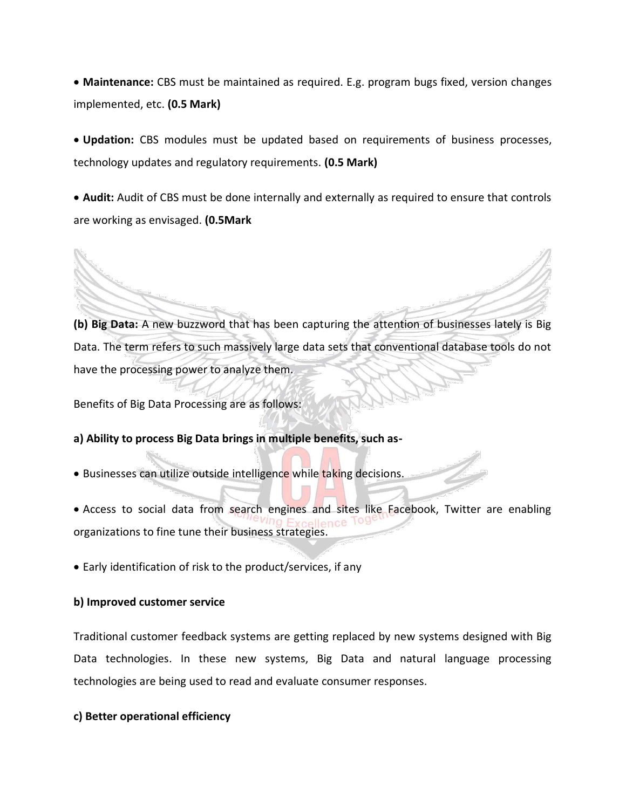**Maintenance:** CBS must be maintained as required. E.g. program bugs fixed, version changes implemented, etc. **(0.5 Mark)** 

 **Updation:** CBS modules must be updated based on requirements of business processes, technology updates and regulatory requirements. **(0.5 Mark)** 

 **Audit:** Audit of CBS must be done internally and externally as required to ensure that controls are working as envisaged. **(0.5Mark** 

**(b) Big Data:** A new buzzword that has been capturing the attention of businesses lately is Big Data. The term refers to such massively large data sets that conventional database tools do not have the processing power to analyze them.

Benefits of Big Data Processing are as follows:

## **a) Ability to process Big Data brings in multiple benefits, such as-**

- Businesses can utilize outside intelligence while taking decisions.
- Access to social data from search engines and sites like Facebook, Twitter are enabling organizations to fine tune their business strategies.
- Early identification of risk to the product/services, if any

#### **b) Improved customer service**

Traditional customer feedback systems are getting replaced by new systems designed with Big Data technologies. In these new systems, Big Data and natural language processing technologies are being used to read and evaluate consumer responses.

## **c) Better operational efficiency**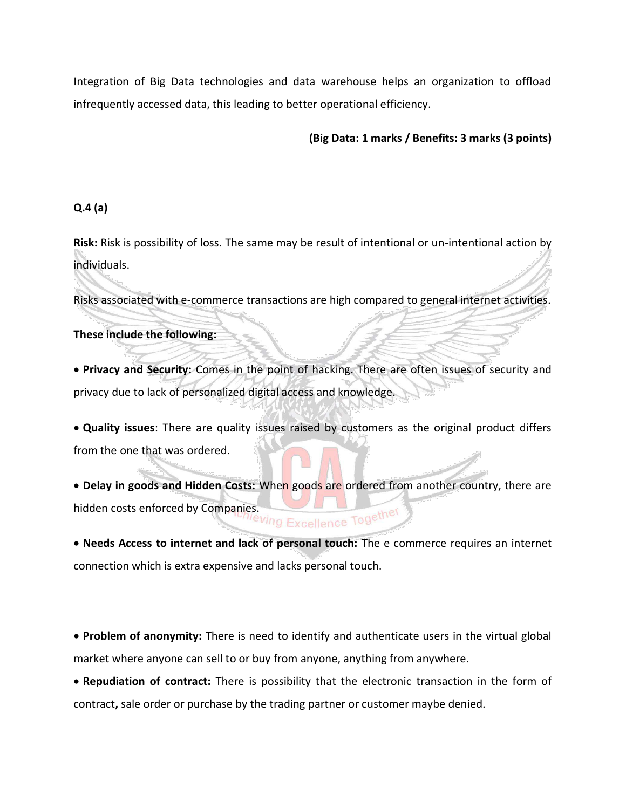Integration of Big Data technologies and data warehouse helps an organization to offload infrequently accessed data, this leading to better operational efficiency.

## **(Big Data: 1 marks / Benefits: 3 marks (3 points)**

## **Q.4 (a)**

**Risk:** Risk is possibility of loss. The same may be result of intentional or un-intentional action by individuals.

Risks associated with e-commerce transactions are high compared to general internet activities.

## **These include the following:**

 **Privacy and Security:** Comes in the point of hacking. There are often issues of security and privacy due to lack of personalized digital access and knowledge.

 **Quality issues**: There are quality issues raised by customers as the original product differs from the one that was ordered.

• Delay in goods and Hidden Costs: When goods are ordered from another country, there are hidden costs enforced by Companies. The Ving Excellence Togethe'

 **Needs Access to internet and lack of personal touch:** The e commerce requires an internet connection which is extra expensive and lacks personal touch.

 **Problem of anonymity:** There is need to identify and authenticate users in the virtual global market where anyone can sell to or buy from anyone, anything from anywhere.

 **Repudiation of contract:** There is possibility that the electronic transaction in the form of contract**,** sale order or purchase by the trading partner or customer maybe denied.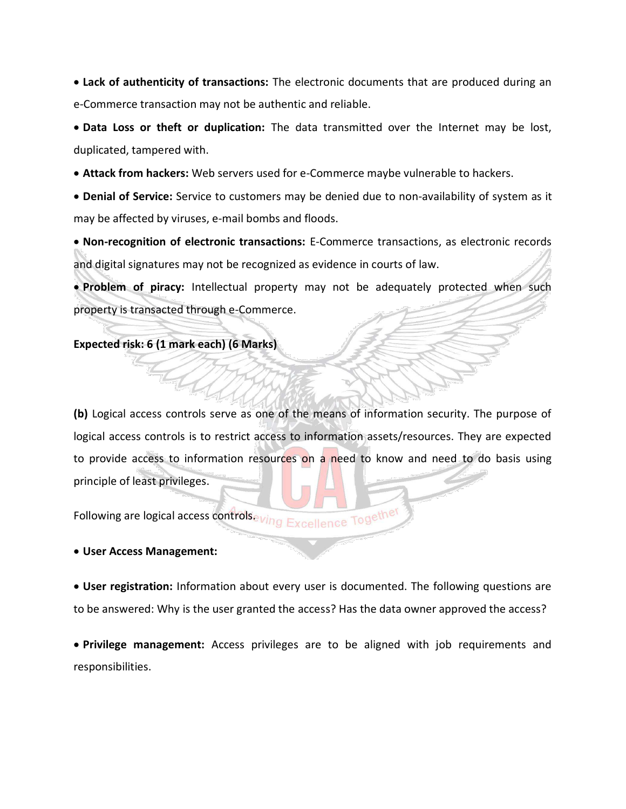**Lack of authenticity of transactions:** The electronic documents that are produced during an e-Commerce transaction may not be authentic and reliable.

 **Data Loss or theft or duplication:** The data transmitted over the Internet may be lost, duplicated, tampered with.

**Attack from hackers:** Web servers used for e-Commerce maybe vulnerable to hackers.

 **Denial of Service:** Service to customers may be denied due to non-availability of system as it may be affected by viruses, e-mail bombs and floods.

 **Non-recognition of electronic transactions:** E-Commerce transactions, as electronic records and digital signatures may not be recognized as evidence in courts of law.

 **Problem of piracy:** Intellectual property may not be adequately protected when such property is transacted through e-Commerce.

#### **Expected risk: 6 (1 mark each) (6 Marks)**

**(b)** Logical access controls serve as one of the means of information security. The purpose of logical access controls is to restrict access to information assets/resources. They are expected to provide access to information resources on a need to know and need to do basis using principle of least privileges.

Following are logical access controlseving Excellence Together

#### **User Access Management:**

 **User registration:** Information about every user is documented. The following questions are to be answered: Why is the user granted the access? Has the data owner approved the access?

 **Privilege management:** Access privileges are to be aligned with job requirements and responsibilities.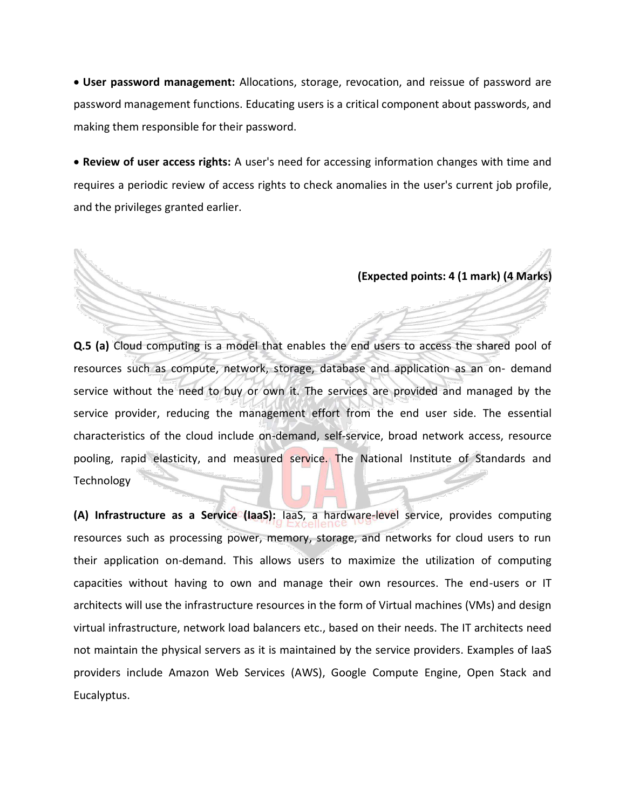**User password management:** Allocations, storage, revocation, and reissue of password are password management functions. Educating users is a critical component about passwords, and making them responsible for their password.

 **Review of user access rights:** A user's need for accessing information changes with time and requires a periodic review of access rights to check anomalies in the user's current job profile, and the privileges granted earlier.

**(Expected points: 4 (1 mark) (4 Marks)**

**Q.5 (a)** Cloud computing is a model that enables the end users to access the shared pool of resources such as compute, network, storage, database and application as an on- demand service without the need to buy or own it. The services are provided and managed by the service provider, reducing the management effort from the end user side. The essential characteristics of the cloud include on-demand, self-service, broad network access, resource pooling, rapid elasticity, and measured service. The National Institute of Standards and **Technology** 

**(A) Infrastructure as a Service (IaaS):** IaaS, a hardware-level service, provides computing resources such as processing power, memory, storage, and networks for cloud users to run their application on-demand. This allows users to maximize the utilization of computing capacities without having to own and manage their own resources. The end-users or IT architects will use the infrastructure resources in the form of Virtual machines (VMs) and design virtual infrastructure, network load balancers etc., based on their needs. The IT architects need not maintain the physical servers as it is maintained by the service providers. Examples of IaaS providers include Amazon Web Services (AWS), Google Compute Engine, Open Stack and Eucalyptus.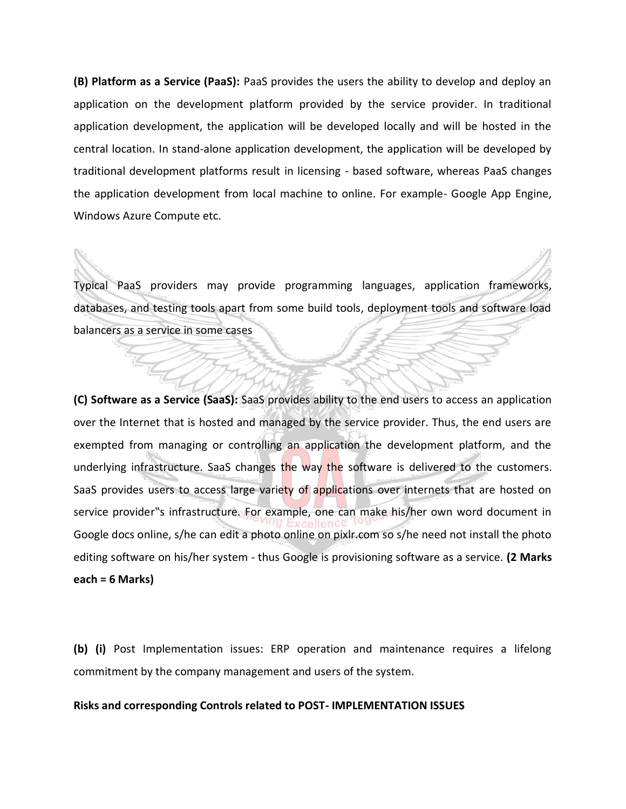**(B) Platform as a Service (PaaS):** PaaS provides the users the ability to develop and deploy an application on the development platform provided by the service provider. In traditional application development, the application will be developed locally and will be hosted in the central location. In stand-alone application development, the application will be developed by traditional development platforms result in licensing - based software, whereas PaaS changes the application development from local machine to online. For example- Google App Engine, Windows Azure Compute etc.

Typical PaaS providers may provide programming languages, application frameworks, databases, and testing tools apart from some build tools, deployment tools and software load balancers as a service in some cases

**(C) Software as a Service (SaaS):** SaaS provides ability to the end users to access an application over the Internet that is hosted and managed by the service provider. Thus, the end users are exempted from managing or controlling an application the development platform, and the underlying infrastructure. SaaS changes the way the software is delivered to the customers. SaaS provides users to access large variety of applications over internets that are hosted on service provider"s infrastructure. For example, one can make his/her own word document in Google docs online, s/he can edit a photo online on pixlr.com so s/he need not install the photo editing software on his/her system - thus Google is provisioning software as a service. **(2 Marks each = 6 Marks)** 

**(b) (i)** Post Implementation issues: ERP operation and maintenance requires a lifelong commitment by the company management and users of the system.

## **Risks and corresponding Controls related to POST- IMPLEMENTATION ISSUES**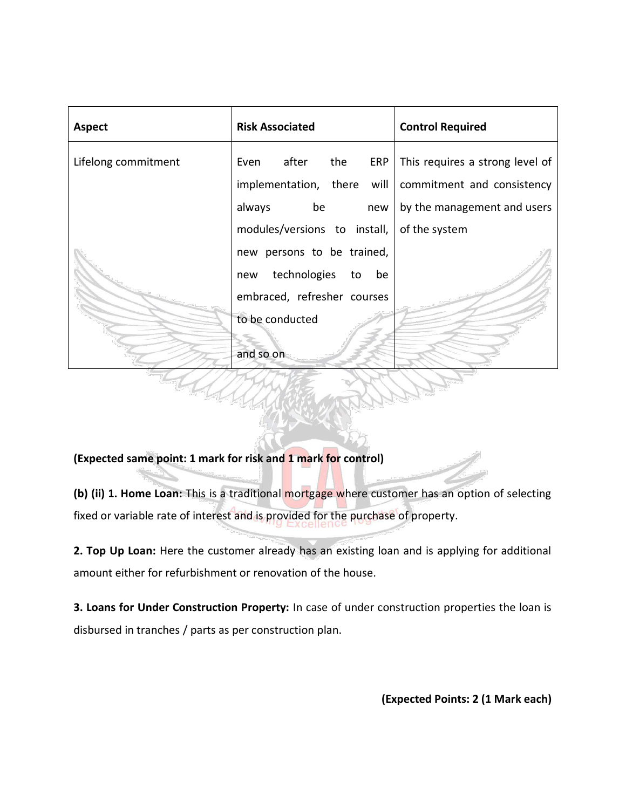| <b>Aspect</b>       | <b>Risk Associated</b>       | <b>Control Required</b>         |
|---------------------|------------------------------|---------------------------------|
| Lifelong commitment | Even after<br>the<br>ERP     | This requires a strong level of |
|                     | implementation, there will   | commitment and consistency      |
|                     | always<br>be<br>new          | by the management and users     |
|                     | modules/versions to install, | of the system                   |
|                     | new persons to be trained,   |                                 |
|                     | technologies to<br>be<br>new |                                 |
|                     | embraced, refresher courses  |                                 |
|                     | to be conducted              |                                 |
|                     | and so on                    |                                 |
|                     |                              |                                 |

**(Expected same point: 1 mark for risk and 1 mark for control)** 

**(b) (ii) 1. Home Loan:** This is a traditional mortgage where customer has an option of selecting fixed or variable rate of interest and is provided for the purchase of property.

**2. Top Up Loan:** Here the customer already has an existing loan and is applying for additional amount either for refurbishment or renovation of the house.

**3. Loans for Under Construction Property:** In case of under construction properties the loan is disbursed in tranches / parts as per construction plan.

**(Expected Points: 2 (1 Mark each)**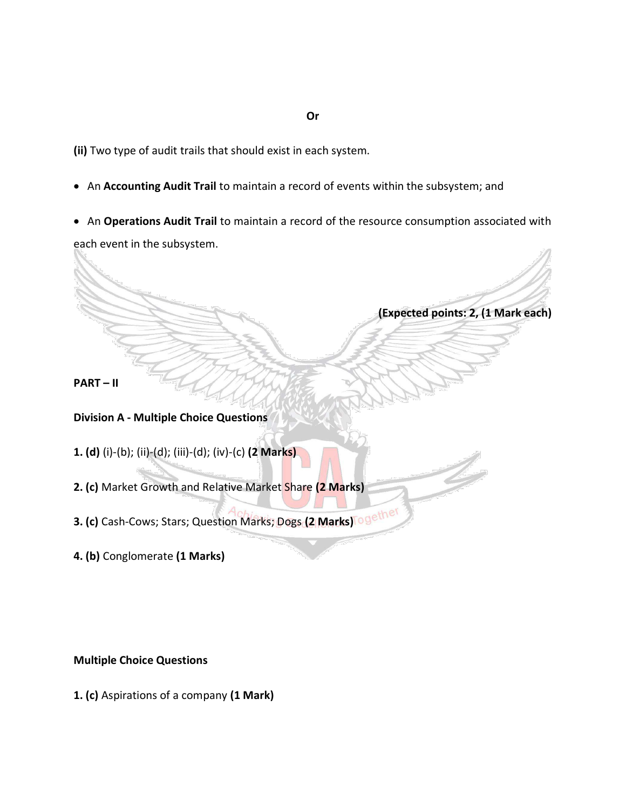**(ii)** Two type of audit trails that should exist in each system.

- An **Accounting Audit Trail** to maintain a record of events within the subsystem; and
- An **Operations Audit Trail** to maintain a record of the resource consumption associated with

each event in the subsystem.

**(Expected points: 2, (1 Mark each)**

**PART – II** 

# **Division A - Multiple Choice Questions**

- **1. (d)** (i)-(b); (ii)-(d); (iii)-(d); (iv)-(c) **(2 Marks)**
- **2. (c)** Market Growth and Relative Market Share **(2 Marks)**
- **3. (c)** Cash-Cows; Stars; Question Marks; Dogs **(2 Marks)**
- **4. (b)** Conglomerate **(1 Marks)**

# **Multiple Choice Questions**

**1. (c)** Aspirations of a company **(1 Mark)** 

#### **Or**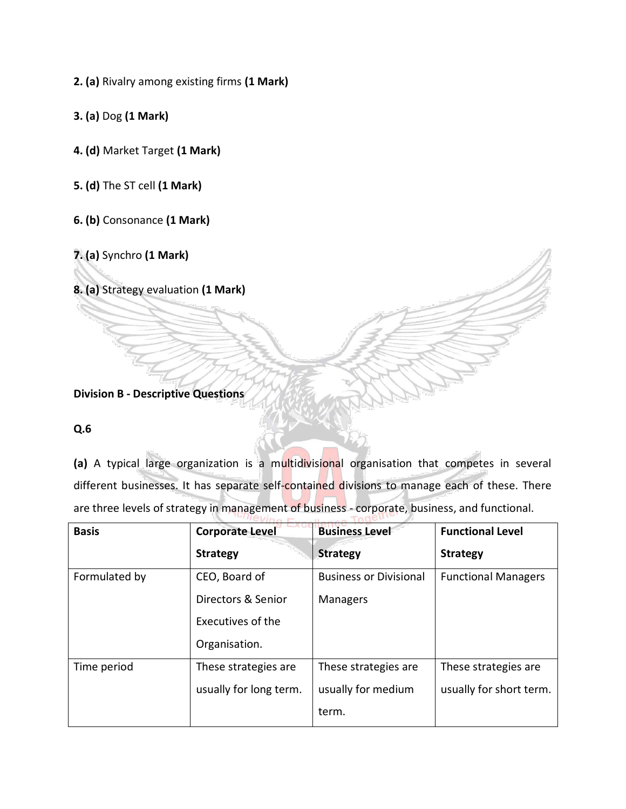**2. (a)** Rivalry among existing firms **(1 Mark)** 

**3. (a)** Dog **(1 Mark)** 

**4. (d)** Market Target **(1 Mark)** 

**5. (d)** The ST cell **(1 Mark)** 

**6. (b)** Consonance **(1 Mark)** 

**7. (a)** Synchro **(1 Mark)** 

**8. (a)** Strategy evaluation **(1 Mark)** 

**Division B - Descriptive Questions** 

# **Q.6**

**(a)** A typical large organization is a multidivisional organisation that competes in several different businesses. It has separate self-contained divisions to manage each of these. There are three levels of strategy in management of business - corporate, business, and functional.

| <b>Basis</b>  | <b>Corporate Level</b> | <b>Business Level</b>         | <b>Functional Level</b>    |
|---------------|------------------------|-------------------------------|----------------------------|
|               | <b>Strategy</b>        | <b>Strategy</b>               | <b>Strategy</b>            |
| Formulated by | CEO, Board of          | <b>Business or Divisional</b> | <b>Functional Managers</b> |
|               | Directors & Senior     | <b>Managers</b>               |                            |
|               | Executives of the      |                               |                            |
|               | Organisation.          |                               |                            |
| Time period   | These strategies are   | These strategies are          | These strategies are       |
|               | usually for long term. | usually for medium            | usually for short term.    |
|               |                        | term.                         |                            |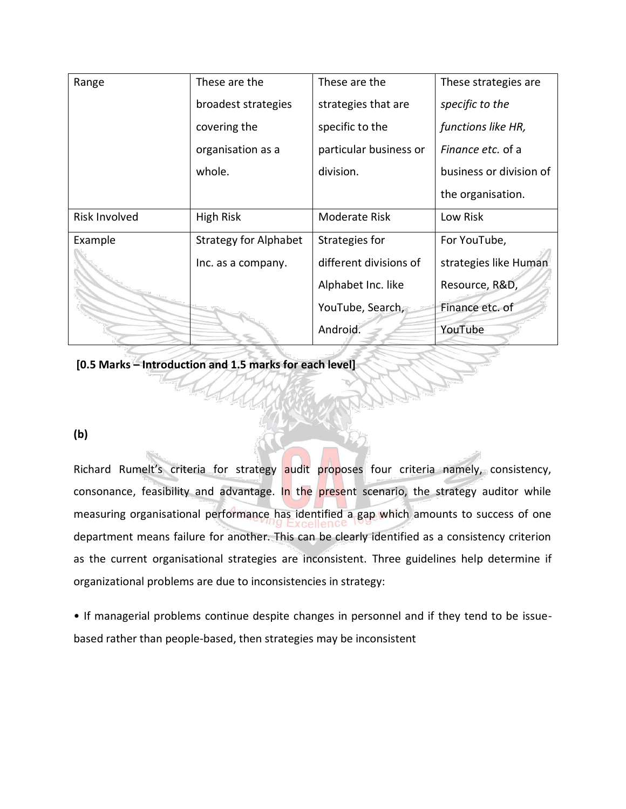| Range                | These are the                | These are the          | These strategies are     |
|----------------------|------------------------------|------------------------|--------------------------|
|                      | broadest strategies          | strategies that are    | specific to the          |
|                      | covering the                 | specific to the        | functions like HR,       |
|                      | organisation as a            | particular business or | <i>Finance etc.</i> of a |
|                      | whole.                       | division.              | business or division of  |
|                      |                              |                        | the organisation.        |
| <b>Risk Involved</b> | <b>High Risk</b>             | <b>Moderate Risk</b>   | Low Risk                 |
| Example              | <b>Strategy for Alphabet</b> | Strategies for         | For YouTube,             |
|                      | Inc. as a company.           | different divisions of | strategies like Human    |
|                      |                              | Alphabet Inc. like     | Resource, R&D            |
|                      |                              | YouTube, Search,       | Finance etc. of          |
|                      |                              | Android.               | YouTube                  |

**[0.5 Marks – Introduction and 1.5 marks for each level]**

# **(b)**

Richard Rumelt's criteria for strategy audit proposes four criteria namely, consistency, consonance, feasibility and advantage. In the present scenario, the strategy auditor while measuring organisational performance has identified a gap which amounts to success of one department means failure for another. This can be clearly identified as a consistency criterion as the current organisational strategies are inconsistent. Three guidelines help determine if organizational problems are due to inconsistencies in strategy:

• If managerial problems continue despite changes in personnel and if they tend to be issuebased rather than people-based, then strategies may be inconsistent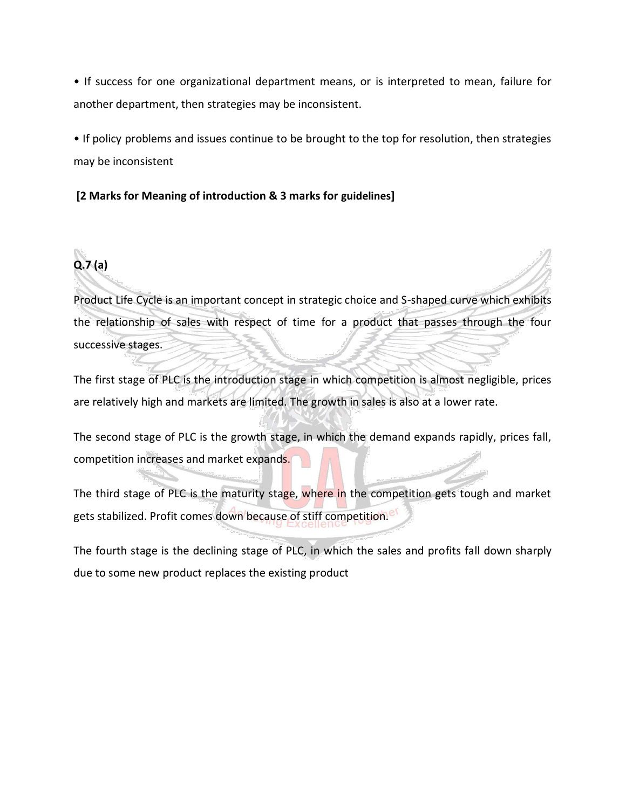• If success for one organizational department means, or is interpreted to mean, failure for another department, then strategies may be inconsistent.

• If policy problems and issues continue to be brought to the top for resolution, then strategies may be inconsistent

# **[2 Marks for Meaning of introduction & 3 marks for guidelines]**



Product Life Cycle is an important concept in strategic choice and S-shaped curve which exhibits the relationship of sales with respect of time for a product that passes through the four successive stages.

The first stage of PLC is the introduction stage in which competition is almost negligible, prices are relatively high and markets are limited. The growth in sales is also at a lower rate.

The second stage of PLC is the growth stage, in which the demand expands rapidly, prices fall, competition increases and market expands.

The third stage of PLC is the maturity stage, where in the competition gets tough and market gets stabilized. Profit comes down because of stiff competition.

The fourth stage is the declining stage of PLC, in which the sales and profits fall down sharply due to some new product replaces the existing product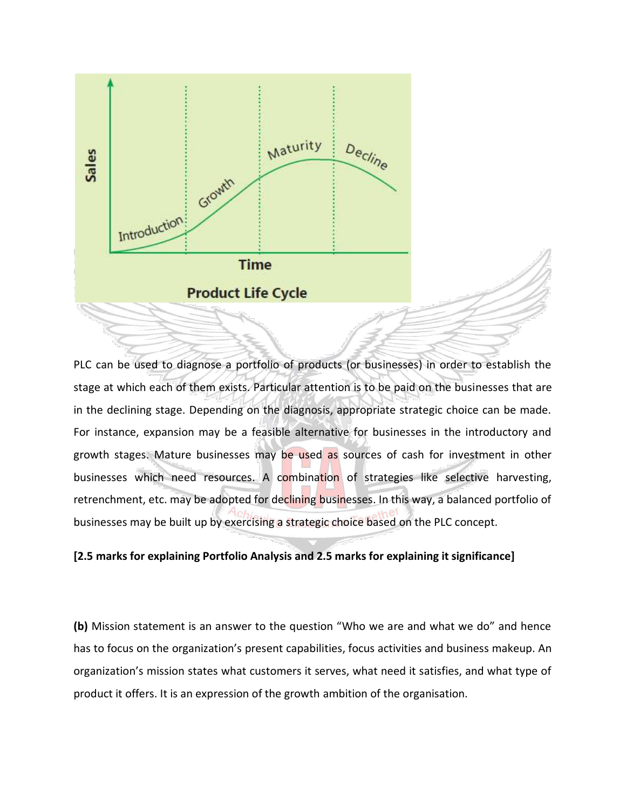

PLC can be used to diagnose a portfolio of products (or businesses) in order to establish the stage at which each of them exists. Particular attention is to be paid on the businesses that are in the declining stage. Depending on the diagnosis, appropriate strategic choice can be made. For instance, expansion may be a feasible alternative for businesses in the introductory and growth stages. Mature businesses may be used as sources of cash for investment in other businesses which need resources. A combination of strategies like selective harvesting, retrenchment, etc. may be adopted for declining businesses. In this way, a balanced portfolio of businesses may be built up by exercising a strategic choice based on the PLC concept.

## **[2.5 marks for explaining Portfolio Analysis and 2.5 marks for explaining it significance]**

**(b)** Mission statement is an answer to the question "Who we are and what we do" and hence has to focus on the organization's present capabilities, focus activities and business makeup. An organization's mission states what customers it serves, what need it satisfies, and what type of product it offers. It is an expression of the growth ambition of the organisation.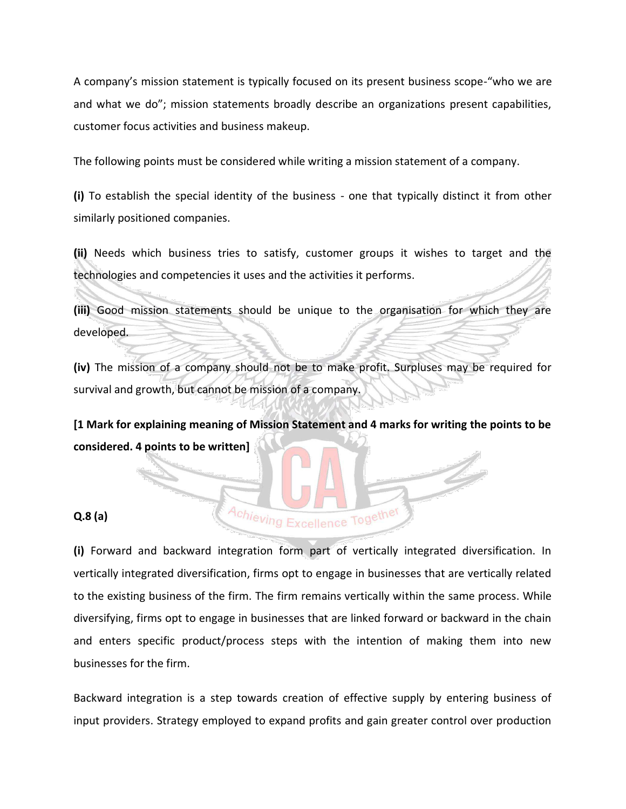A company's mission statement is typically focused on its present business scope-"who we are and what we do"; mission statements broadly describe an organizations present capabilities, customer focus activities and business makeup.

The following points must be considered while writing a mission statement of a company.

**(i)** To establish the special identity of the business - one that typically distinct it from other similarly positioned companies.

**(ii)** Needs which business tries to satisfy, customer groups it wishes to target and the technologies and competencies it uses and the activities it performs.

**(iii)** Good mission statements should be unique to the organisation for which they are developed.

**(iv)** The mission of a company should not be to make profit. Surpluses may be required for survival and growth, but cannot be mission of a company.

**[1 Mark for explaining meaning of Mission Statement and 4 marks for writing the points to be considered. 4 points to be written]**

Achieving Excellence Together

#### **Q.8 (a)**

**(i)** Forward and backward integration form part of vertically integrated diversification. In vertically integrated diversification, firms opt to engage in businesses that are vertically related to the existing business of the firm. The firm remains vertically within the same process. While diversifying, firms opt to engage in businesses that are linked forward or backward in the chain and enters specific product/process steps with the intention of making them into new businesses for the firm.

Backward integration is a step towards creation of effective supply by entering business of input providers. Strategy employed to expand profits and gain greater control over production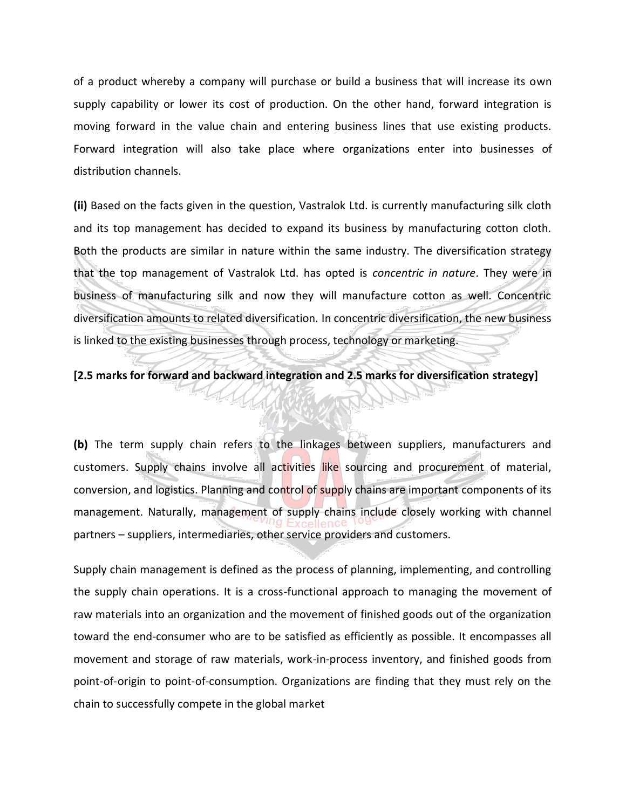of a product whereby a company will purchase or build a business that will increase its own supply capability or lower its cost of production. On the other hand, forward integration is moving forward in the value chain and entering business lines that use existing products. Forward integration will also take place where organizations enter into businesses of distribution channels.

**(ii)** Based on the facts given in the question, Vastralok Ltd. is currently manufacturing silk cloth and its top management has decided to expand its business by manufacturing cotton cloth. Both the products are similar in nature within the same industry. The diversification strategy that the top management of Vastralok Ltd. has opted is *concentric in nature*. They were in business of manufacturing silk and now they will manufacture cotton as well. Concentric diversification amounts to related diversification. In concentric diversification, the new business is linked to the existing businesses through process, technology or marketing.

**[2.5 marks for forward and backward integration and 2.5 marks for diversification strategy]**

**(b)** The term supply chain refers to the linkages between suppliers, manufacturers and customers. Supply chains involve all activities like sourcing and procurement of material, conversion, and logistics. Planning and control of supply chains are important components of its management. Naturally, management of supply chains include closely working with channel partners – suppliers, intermediaries, other service providers and customers.

Supply chain management is defined as the process of planning, implementing, and controlling the supply chain operations. It is a cross-functional approach to managing the movement of raw materials into an organization and the movement of finished goods out of the organization toward the end-consumer who are to be satisfied as efficiently as possible. It encompasses all movement and storage of raw materials, work-in-process inventory, and finished goods from point-of-origin to point-of-consumption. Organizations are finding that they must rely on the chain to successfully compete in the global market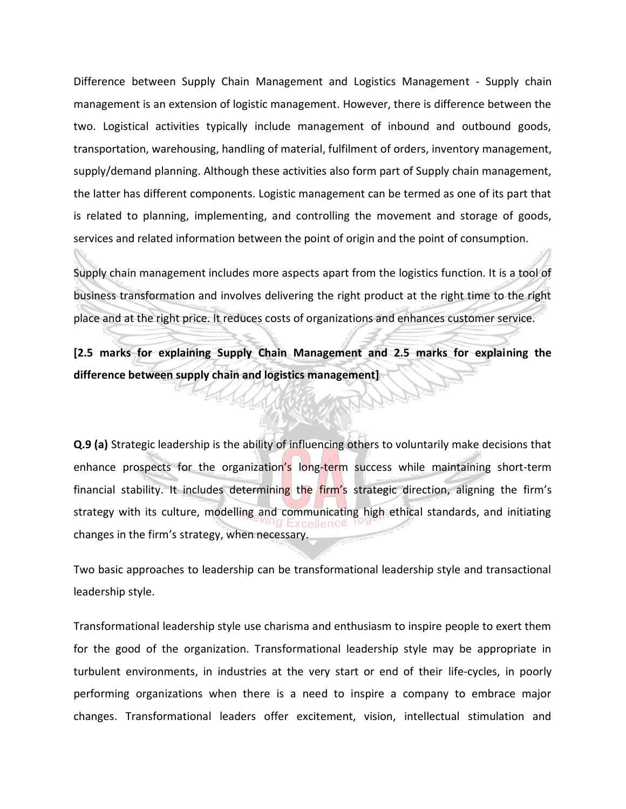Difference between Supply Chain Management and Logistics Management - Supply chain management is an extension of logistic management. However, there is difference between the two. Logistical activities typically include management of inbound and outbound goods, transportation, warehousing, handling of material, fulfilment of orders, inventory management, supply/demand planning. Although these activities also form part of Supply chain management, the latter has different components. Logistic management can be termed as one of its part that is related to planning, implementing, and controlling the movement and storage of goods, services and related information between the point of origin and the point of consumption.

Supply chain management includes more aspects apart from the logistics function. It is a tool of business transformation and involves delivering the right product at the right time to the right place and at the right price. It reduces costs of organizations and enhances customer service.

**[2.5 marks for explaining Supply Chain Management and 2.5 marks for explaining the difference between supply chain and logistics management]**

**Q.9 (a)** Strategic leadership is the ability of influencing others to voluntarily make decisions that enhance prospects for the organization's long-term success while maintaining short-term financial stability. It includes determining the firm's strategic direction, aligning the firm's strategy with its culture, modelling and communicating high ethical standards, and initiating changes in the firm's strategy, when necessary.

Two basic approaches to leadership can be transformational leadership style and transactional leadership style.

Transformational leadership style use charisma and enthusiasm to inspire people to exert them for the good of the organization. Transformational leadership style may be appropriate in turbulent environments, in industries at the very start or end of their life-cycles, in poorly performing organizations when there is a need to inspire a company to embrace major changes. Transformational leaders offer excitement, vision, intellectual stimulation and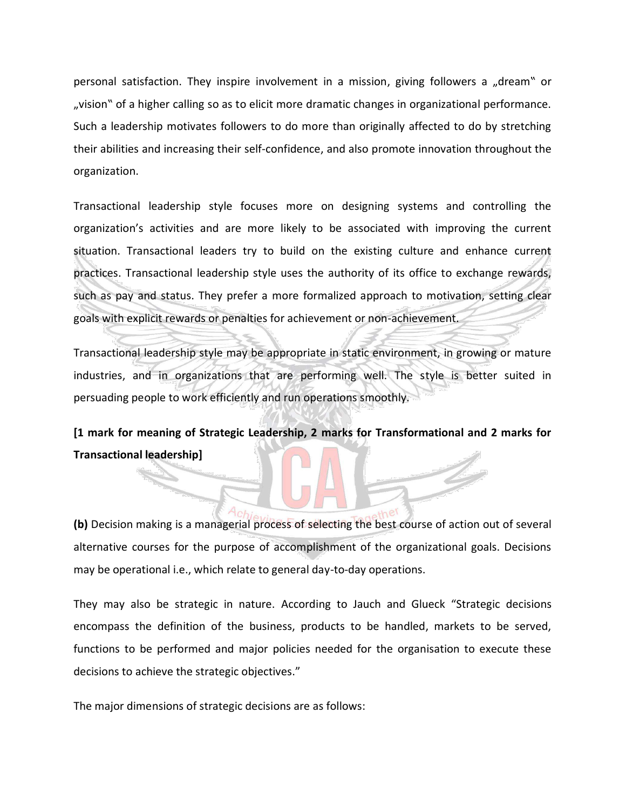personal satisfaction. They inspire involvement in a mission, giving followers a "dream" or "vision" of a higher calling so as to elicit more dramatic changes in organizational performance. Such a leadership motivates followers to do more than originally affected to do by stretching their abilities and increasing their self-confidence, and also promote innovation throughout the organization.

Transactional leadership style focuses more on designing systems and controlling the organization's activities and are more likely to be associated with improving the current situation. Transactional leaders try to build on the existing culture and enhance current practices. Transactional leadership style uses the authority of its office to exchange rewards, such as pay and status. They prefer a more formalized approach to motivation, setting clear goals with explicit rewards or penalties for achievement or non-achievement.

Transactional leadership style may be appropriate in static environment, in growing or mature industries, and in organizations that are performing well. The style is better suited in persuading people to work efficiently and run operations smoothly.

**[1 mark for meaning of Strategic Leadership, 2 marks for Transformational and 2 marks for Transactional leadership]**

**(b)** Decision making is a managerial process of selecting the best course of action out of several alternative courses for the purpose of accomplishment of the organizational goals. Decisions may be operational i.e., which relate to general day-to-day operations.

They may also be strategic in nature. According to Jauch and Glueck "Strategic decisions encompass the definition of the business, products to be handled, markets to be served, functions to be performed and major policies needed for the organisation to execute these decisions to achieve the strategic objectives."

The major dimensions of strategic decisions are as follows: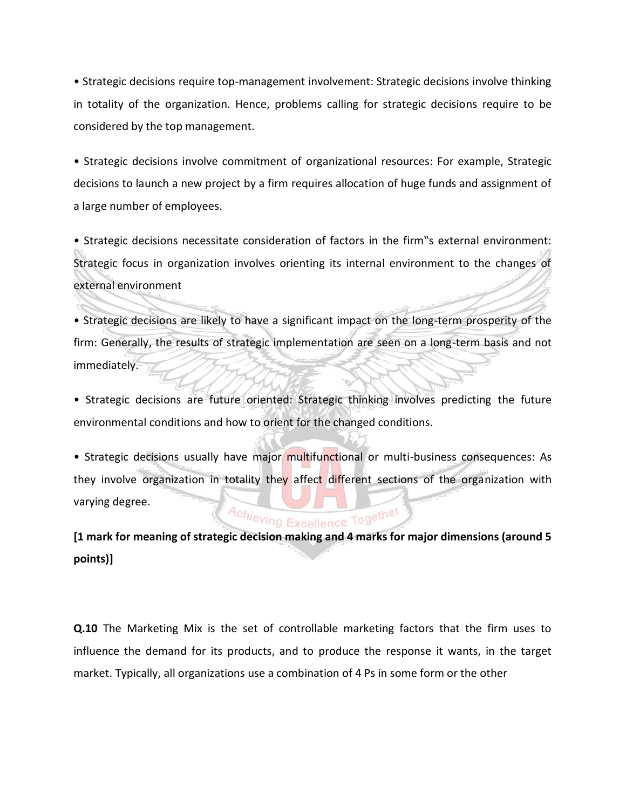• Strategic decisions require top-management involvement: Strategic decisions involve thinking in totality of the organization. Hence, problems calling for strategic decisions require to be considered by the top management.

• Strategic decisions involve commitment of organizational resources: For example, Strategic decisions to launch a new project by a firm requires allocation of huge funds and assignment of a large number of employees.

• Strategic decisions necessitate consideration of factors in the firm"s external environment: Strategic focus in organization involves orienting its internal environment to the changes of external environment

• Strategic decisions are likely to have a significant impact on the long-term prosperity of the firm: Generally, the results of strategic implementation are seen on a long-term basis and not immediately.

• Strategic decisions are future oriented: Strategic thinking involves predicting the future environmental conditions and how to orient for the changed conditions.

• Strategic decisions usually have major multifunctional or multi-business consequences: As they involve organization in totality they affect different sections of the organization with varying degree.

# Achieving Excellence Together

**[1 mark for meaning of strategic decision making and 4 marks for major dimensions (around 5 points)]**

**Q.10** The Marketing Mix is the set of controllable marketing factors that the firm uses to influence the demand for its products, and to produce the response it wants, in the target market. Typically, all organizations use a combination of 4 Ps in some form or the other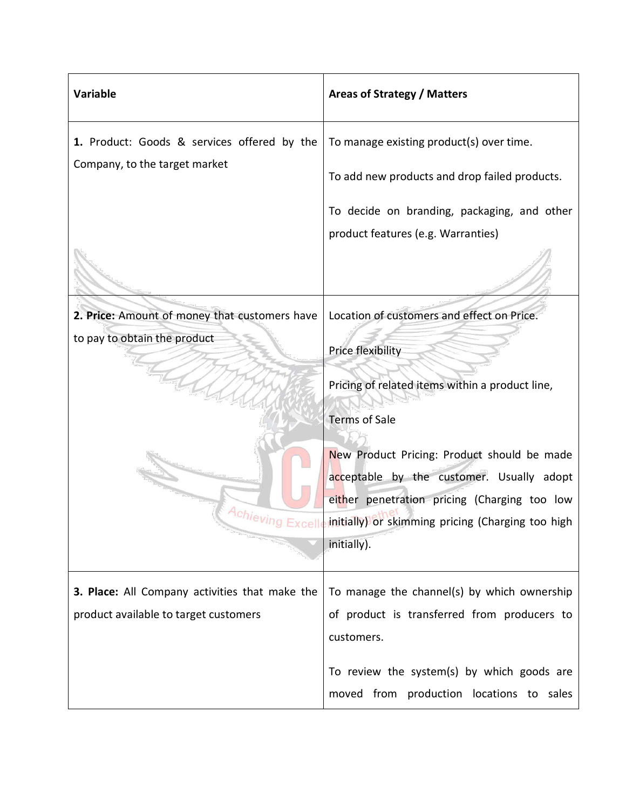| <b>Variable</b>                                                                            | <b>Areas of Strategy / Matters</b>                                                                                                                                                                                                                                                                                                                         |
|--------------------------------------------------------------------------------------------|------------------------------------------------------------------------------------------------------------------------------------------------------------------------------------------------------------------------------------------------------------------------------------------------------------------------------------------------------------|
| 1. Product: Goods & services offered by the<br>Company, to the target market               | To manage existing product(s) over time.<br>To add new products and drop failed products.                                                                                                                                                                                                                                                                  |
|                                                                                            | To decide on branding, packaging, and other<br>product features (e.g. Warranties)                                                                                                                                                                                                                                                                          |
| 2. Price: Amount of money that customers have<br>to pay to obtain the product<br>Achieving | Location of customers and effect on Price.<br>Price flexibility<br>Pricing of related items within a product line,<br><b>Terms of Sale</b><br>New Product Pricing: Product should be made<br>acceptable by the customer. Usually adopt<br>either penetration pricing (Charging too low<br>initially) or skimming pricing (Charging too high<br>initially). |
| 3. Place: All Company activities that make the<br>product available to target customers    | To manage the channel(s) by which ownership<br>of product is transferred from producers to<br>customers.<br>To review the system(s) by which goods are<br>moved from production locations to sales                                                                                                                                                         |